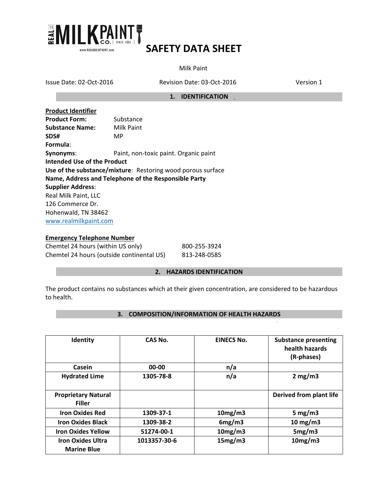

Milk Paint

Issue Date: 02-Oct-2016 Revision Date: 03-Oct-2016 Version 1

#### **1. IDENTIFICATION**

| <b>Product Identifier</b>   |                                                             |
|-----------------------------|-------------------------------------------------------------|
| <b>Product Form:</b>        | Substance                                                   |
| <b>Substance Name:</b>      | Milk Paint                                                  |
| SDS#                        | MP                                                          |
| Formula:                    |                                                             |
| Synonyms:                   | Paint, non-toxic paint. Organic paint                       |
| Intended Use of the Product |                                                             |
|                             | Use of the substance/mixture: Restoring wood porous surface |
|                             | Name, Address and Telephone of the Responsible Party        |
| <b>Supplier Address:</b>    |                                                             |
| Real Milk Paint, LLC        |                                                             |
| 126 Commerce Dr.            |                                                             |
| Hohenwald, TN 38462         |                                                             |
| www.realmilkpaint.com       |                                                             |

### **Emergency Telephone Number**

| Chemtel 24 hours (within US only)         | 800-255-3924 |
|-------------------------------------------|--------------|
| Chemtel 24 hours (outside continental US) | 813-248-0585 |

#### **2. HAZARDS IDENTIFICATION**

The product contains no substances which at their given concentration, are considered to be hazardous to health.

### **3. COMPOSITION/INFORMATION OF HEALTH HAZARDS**

| Identity                                       | CAS No.      | <b>EINECS No.</b> | <b>Substance presenting</b><br>health hazards<br>(R-phases) |
|------------------------------------------------|--------------|-------------------|-------------------------------------------------------------|
| Casein                                         | 00-00        | n/a               |                                                             |
| <b>Hydrated Lime</b>                           | 1305-78-8    | n/a               | 2 mg/m3                                                     |
| <b>Proprietary Natural</b><br><b>Filler</b>    |              |                   | Derived from plant life                                     |
| <b>Iron Oxides Red</b>                         | 1309-37-1    | 10mg/m3           | 5 mg/m $3$                                                  |
| <b>Iron Oxides Black</b>                       | 1309-38-2    | 6mg/m3            | $10 \text{ mg/m}$                                           |
| <b>Iron Oxides Yellow</b>                      | 51274-00-1   | 10mg/m3           | 5mg/m3                                                      |
| <b>Iron Oxides Ultra</b><br><b>Marine Blue</b> | 1013357-30-6 | 15mg/m3           | 10mg/m3                                                     |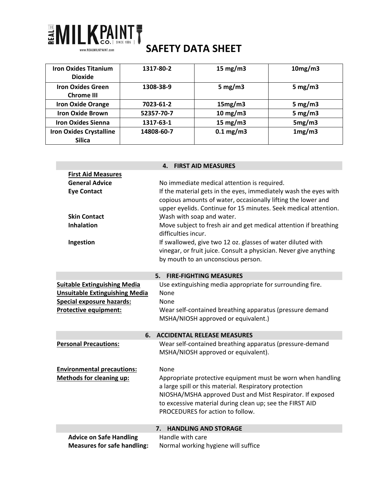

| <b>Iron Oxides Titanium</b><br><b>Dioxide</b>   | 1317-80-2  | 15 mg/m $3$          | 10mg/m3    |
|-------------------------------------------------|------------|----------------------|------------|
| <b>Iron Oxides Green</b><br><b>Chrome III</b>   | 1308-38-9  | 5 mg/m $3$           | 5 mg/m $3$ |
| <b>Iron Oxide Orange</b>                        | 7023-61-2  | 15mg/m3              | 5 mg/m $3$ |
| <b>Iron Oxide Brown</b>                         | 52357-70-7 | $10 \text{ mg/m}$    | 5 mg/m $3$ |
| <b>Iron Oxides Sienna</b>                       | 1317-63-1  | 15 mg/m $3$          | 5mg/m3     |
| <b>Iron Oxides Crystalline</b><br><b>Silica</b> | 14808-60-7 | $0.1 \text{ mg/m}$ 3 | 1mg/m3     |

|                                                                                                                                                  | <b>FIRST AID MEASURES</b><br>4.                                                                                                                                                                                                                                                                                                                                                                                                                                                                                                                      |
|--------------------------------------------------------------------------------------------------------------------------------------------------|------------------------------------------------------------------------------------------------------------------------------------------------------------------------------------------------------------------------------------------------------------------------------------------------------------------------------------------------------------------------------------------------------------------------------------------------------------------------------------------------------------------------------------------------------|
| <b>First Aid Measures</b><br><b>General Advice</b><br><b>Eye Contact</b><br><b>Skin Contact</b><br><b>Inhalation</b><br>Ingestion                | No immediate medical attention is required.<br>If the material gets in the eyes, immediately wash the eyes with<br>copious amounts of water, occasionally lifting the lower and<br>upper eyelids. Continue for 15 minutes. Seek medical attention.<br>Wash with soap and water.<br>Move subject to fresh air and get medical attention if breathing<br>difficulties incur.<br>If swallowed, give two 12 oz. glasses of water diluted with<br>vinegar, or fruit juice. Consult a physician. Never give anything<br>by mouth to an unconscious person. |
|                                                                                                                                                  | 5. FIRE-FIGHTING MEASURES                                                                                                                                                                                                                                                                                                                                                                                                                                                                                                                            |
| <b>Suitable Extinguishing Media</b><br><b>Unsuitable Extinguishing Media</b><br><b>Special exposure hazards:</b><br><b>Protective equipment:</b> | Use extinguishing media appropriate for surrounding fire.<br>None<br>None<br>Wear self-contained breathing apparatus (pressure demand<br>MSHA/NIOSH approved or equivalent.)                                                                                                                                                                                                                                                                                                                                                                         |
| 6.                                                                                                                                               | <b>ACCIDENTAL RELEASE MEASURES</b>                                                                                                                                                                                                                                                                                                                                                                                                                                                                                                                   |
| <b>Personal Precautions:</b>                                                                                                                     | Wear self-contained breathing apparatus (pressure-demand<br>MSHA/NIOSH approved or equivalent).                                                                                                                                                                                                                                                                                                                                                                                                                                                      |
| <b>Environmental precautions:</b>                                                                                                                | None                                                                                                                                                                                                                                                                                                                                                                                                                                                                                                                                                 |
| <b>Methods for cleaning up:</b>                                                                                                                  | Appropriate protective equipment must be worn when handling<br>a large spill or this material. Respiratory protection<br>NIOSHA/MSHA approved Dust and Mist Respirator. If exposed<br>to excessive material during clean up; see the FIRST AID<br>PROCEDURES for action to follow.                                                                                                                                                                                                                                                                   |
|                                                                                                                                                  | <b>HANDLING AND STORAGE</b><br>7.                                                                                                                                                                                                                                                                                                                                                                                                                                                                                                                    |
| <b>Advice on Safe Handling</b><br><b>Measures for safe handling:</b>                                                                             | Handle with care<br>Normal working hygiene will suffice                                                                                                                                                                                                                                                                                                                                                                                                                                                                                              |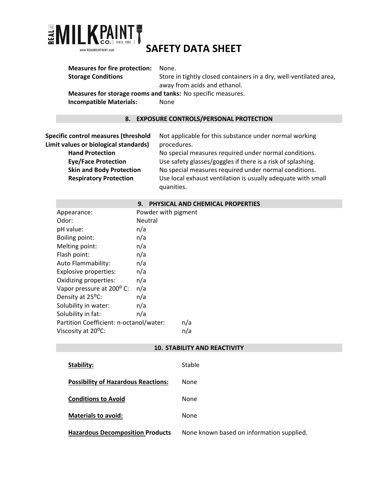

| <b>Measures for fire protection:</b>        | None.                                                                                              |
|---------------------------------------------|----------------------------------------------------------------------------------------------------|
| <b>Storage Conditions</b>                   | Store in tightly closed containers in a dry, well-ventilated area,<br>away from acids and ethanol. |
|                                             | Measures for storage rooms and tanks: No specific measures.                                        |
| <b>Incompatible Materials:</b>              | None                                                                                               |
| 8.                                          | <b>EXPOSURE CONTROLS/PERSONAL PROTECTION</b>                                                       |
|                                             |                                                                                                    |
| <b>Specific control measures (threshold</b> | Not applicable for this substance under normal working                                             |
| Limit values or biological standards)       | procedures.                                                                                        |
| <b>Hand Protection</b>                      | No special measures required under normal conditions.                                              |
| Eug/Eago Drotaction                         | Use safety glasses (geogles if there is a risk of splashing)                                       |

**Eye/Face Protection** Use safety glasses/goggles if there is a risk of splashing. **Skin and Body Protection** No special measures required under normal conditions. **Respiratory Protection** Use local exhaust ventilation is usually adequate with small quanities.

#### **9. PHYSICAL AND CHEMICAL PROPERTIES**

| Powder with pigment                            |
|------------------------------------------------|
| Neutral                                        |
| n/a                                            |
| n/a                                            |
| n/a                                            |
| n/a                                            |
| n/a                                            |
| n/a                                            |
| n/a                                            |
| n/a                                            |
| n/a                                            |
| n/a                                            |
| n/a                                            |
| Partition Coefficient: n-octanol/water:<br>n/a |
| n/a                                            |
|                                                |

#### **10. STABILITY AND REACTIVITY**

| Stability:                                 | Stable                                    |
|--------------------------------------------|-------------------------------------------|
| <b>Possibility of Hazardous Reactions:</b> | None                                      |
| <b>Conditions to Avoid</b>                 | None                                      |
| <b>Materials to avoid:</b>                 | None                                      |
| <b>Hazardous Decomposition Products</b>    | None known based on information supplied. |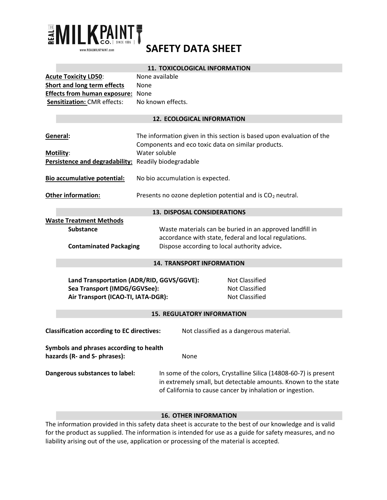

#### **11. TOXICOLOGICAL INFORMATION**

| <b>Acute Toxicity LD50:</b>              | None available    |
|------------------------------------------|-------------------|
| Short and long term effects              | <b>None</b>       |
| <b>Effects from human exposure: None</b> |                   |
| <b>Sensitization: CMR effects:</b>       | No known effects. |

#### **12. ECOLOGICAL INFORMATION**

| General:<br>Motility:<br>Persistence and degradability: Readily biodegradable                                                                                                              | The information given in this section is based upon evaluation of the<br>Components and eco toxic data on similar products.<br>Water soluble                                                     |  |
|--------------------------------------------------------------------------------------------------------------------------------------------------------------------------------------------|--------------------------------------------------------------------------------------------------------------------------------------------------------------------------------------------------|--|
| Bio accumulative potential:                                                                                                                                                                | No bio accumulation is expected.                                                                                                                                                                 |  |
| <b>Other information:</b>                                                                                                                                                                  | Presents no ozone depletion potential and is CO <sub>2</sub> neutral.                                                                                                                            |  |
|                                                                                                                                                                                            | <b>13. DISPOSAL CONSIDERATIONS</b>                                                                                                                                                               |  |
| <b>Waste Treatment Methods</b>                                                                                                                                                             |                                                                                                                                                                                                  |  |
| <b>Substance</b>                                                                                                                                                                           | Waste materials can be buried in an approved landfill in                                                                                                                                         |  |
|                                                                                                                                                                                            | accordance with state, federal and local regulations.                                                                                                                                            |  |
| <b>Contaminated Packaging</b><br>Dispose according to local authority advice.                                                                                                              |                                                                                                                                                                                                  |  |
|                                                                                                                                                                                            | <b>14. TRANSPORT INFORMATION</b>                                                                                                                                                                 |  |
| Land Transportation (ADR/RID, GGVS/GGVE):<br><b>Not Classified</b><br>Sea Transport (IMDG/GGVSee):<br><b>Not Classified</b><br><b>Not Classified</b><br>Air Transport (ICAO-TI, IATA-DGR): |                                                                                                                                                                                                  |  |
|                                                                                                                                                                                            | <b>15. REGULATORY INFORMATION</b>                                                                                                                                                                |  |
| <b>Classification according to EC directives:</b>                                                                                                                                          | Not classified as a dangerous material.                                                                                                                                                          |  |
| Symbols and phrases according to health<br>hazards (R- and S- phrases):                                                                                                                    | None                                                                                                                                                                                             |  |
| Dangerous substances to label:                                                                                                                                                             | In some of the colors, Crystalline Silica (14808-60-7) is present<br>in extremely small, but detectable amounts. Known to the state<br>of California to cause cancer by inhalation or ingestion. |  |

### **16. OTHER INFORMATION**

The information provided in this safety data sheet is accurate to the best of our knowledge and is valid for the product as supplied. The information is intended for use as a guide for safety measures, and no liability arising out of the use, application or processing of the material is accepted.